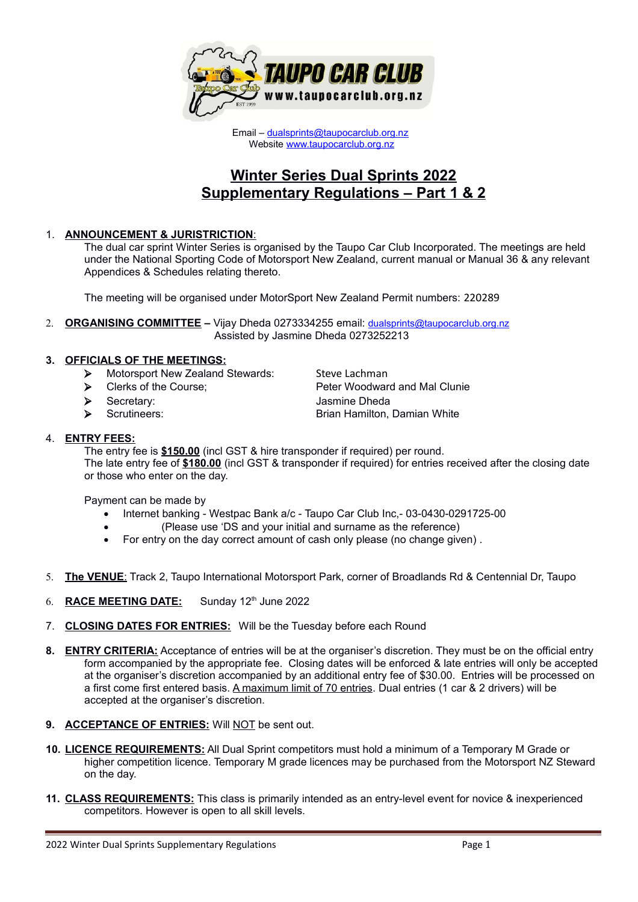

Email – [dualsprints@taupocarclub.org.nz](mailto:dualsprints@taupocarclub.org.nz) Website [www.taupocarclub.org.nz](http://www.taupocarclub.org.nz/)

# **Winter Series Dual Sprints 2022 Supplementary Regulations – Part 1 & 2**

## 1. **ANNOUNCEMENT & JURISTRICTION**:

The dual car sprint Winter Series is organised by the Taupo Car Club Incorporated. The meetings are held under the National Sporting Code of Motorsport New Zealand, current manual or Manual 36 & any relevant Appendices & Schedules relating thereto.

The meeting will be organised under MotorSport New Zealand Permit numbers: 220289

2. **ORGANISING COMMITTEE –** Vijay Dheda 0273334255 email: [dualsprints@taupocarclub.org.nz](mailto:dualsprints@taupocarclub.org.nz) Assisted by Jasmine Dheda 0273252213

## **3. OFFICIALS OF THE MEETINGS:**

- > Motorsport New Zealand Stewards: Steve Lachman
- ▶ Clerks of the Course; Peter Woodward and Mal Clunie
- Secretary: Jasmine Dheda
- 

▶ Scrutineers: Scrutineers: Scrutineers: Brian Hamilton, Damian White Scrutineers: Scrutineers: Scrutineers: Scrutineers: Scrutineers: Scrutineers: Scrutineers: Scrutineers: Scrutineers: Scrutineers: Scrutineers: Scrutine

### 4. **ENTRY FEES:**

The entry fee is **\$150.00** (incl GST & hire transponder if required) per round. The late entry fee of **\$180.00** (incl GST & transponder if required) for entries received after the closing date or those who enter on the day.

Payment can be made by

- Internet banking Westpac Bank a/c Taupo Car Club Inc, 03-0430-0291725-00
- (Please use 'DS and your initial and surname as the reference)
- For entry on the day correct amount of cash only please (no change given).
- 5. **The VENUE**: Track 2, Taupo International Motorsport Park, corner of Broadlands Rd & Centennial Dr, Taupo
- 6. RACE MEETING DATE: Sunday 12<sup>th</sup> June 2022
- 7. **CLOSING DATES FOR ENTRIES:** Will be the Tuesday before each Round
- **8. ENTRY CRITERIA:** Acceptance of entries will be at the organiser's discretion. They must be on the official entry form accompanied by the appropriate fee. Closing dates will be enforced & late entries will only be accepted at the organiser's discretion accompanied by an additional entry fee of \$30.00. Entries will be processed on a first come first entered basis. A maximum limit of 70 entries. Dual entries (1 car & 2 drivers) will be accepted at the organiser's discretion.
- **9. ACCEPTANCE OF ENTRIES:** Will NOT be sent out.
- **10. LICENCE REQUIREMENTS:** All Dual Sprint competitors must hold a minimum of a Temporary M Grade or higher competition licence. Temporary M grade licences may be purchased from the Motorsport NZ Steward on the day.
- **11. CLASS REQUIREMENTS:** This class is primarily intended as an entry-level event for novice & inexperienced competitors. However is open to all skill levels.